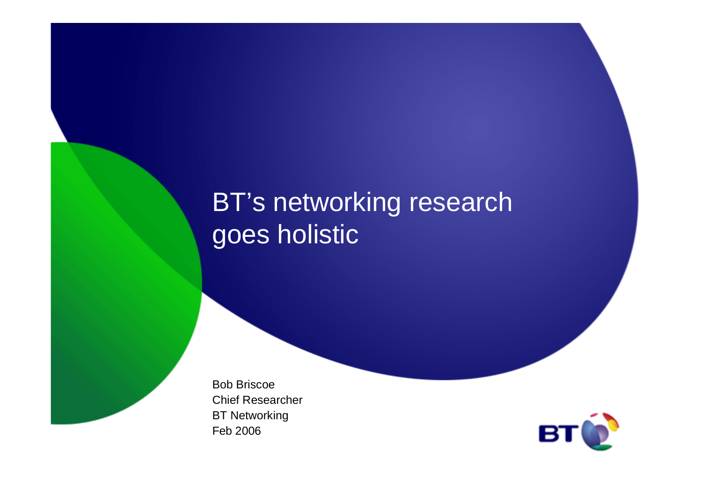## BT's networking research goes holistic

Bob Briscoe Chief ResearcherBT NetworkingFeb 2006

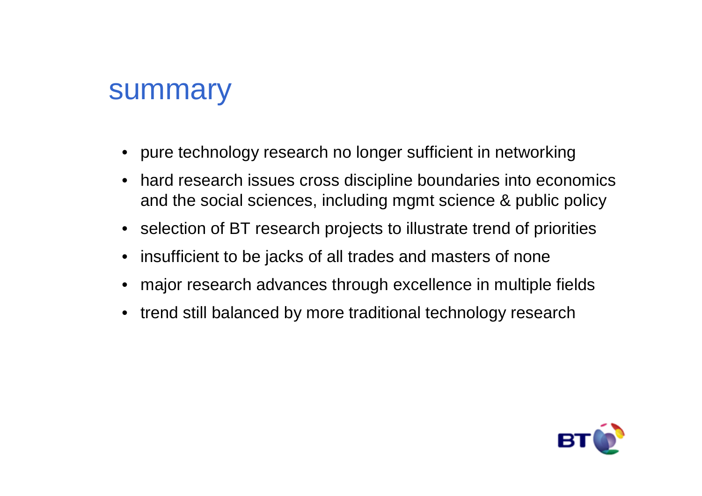### summary

- pure technology research no longer sufficient in networking
- • hard research issues cross discipline boundaries into economics and the social sciences, including mgmt science & public policy
- selection of BT research projects to illustrate trend of priorities
- $\bullet$ insufficient to be jacks of all trades and masters of none
- major research advances through excellence in multiple fields
- trend still balanced by more traditional technology research

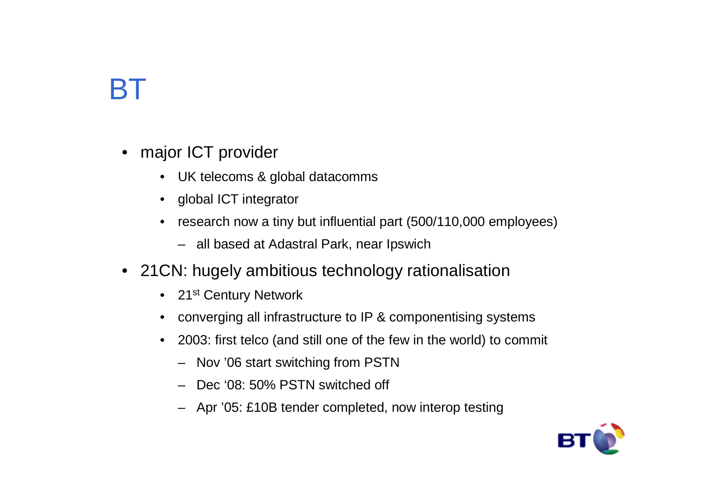# BT

- major ICT provider
	- UK telecoms & global datacomms
	- global ICT integrator
	- research now a tiny but influential part (500/110,000 employees)
		- all based at Adastral Park, near Ipswich
- 21CN: hugely ambitious technology rationalisation
	- 21st Century Network
	- converging all infrastructure to IP & componentising systems
	- $\bullet$  2003: first telco (and still one of the few in the world) to commit
		- Nov '06 start switching from PSTN
		- Dec '08: 50% PSTN switched off
		- Apr '05: £10B tender completed, now interop testing

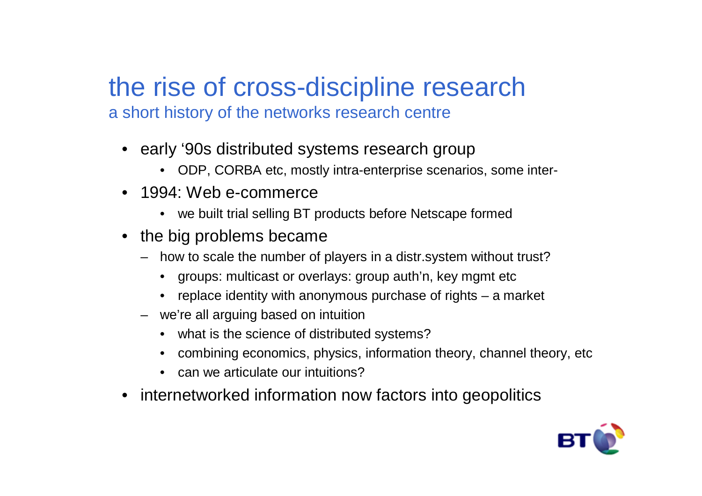# the rise of cross-discipline research

a short history of the networks research centre

- early '90s distributed systems research group
	- ODP, CORBA etc, mostly intra-enterprise scenarios, some inter-
- 1994: Web e-commerce
	- we built trial selling BT products before Netscape formed
- the big problems became
	- how to scale the number of players in a distr.system without trust?
		- groups: multicast or overlays: group auth'n, key mgmt etc
		- replace identity with anonymous purchase of rights a market
	- we're all arguing based on intuition
		- what is the science of distributed systems?
		- combining economics, physics, information theory, channel theory, etc
		- can we articulate our intuitions?
- internetworked information now factors into geopolitics

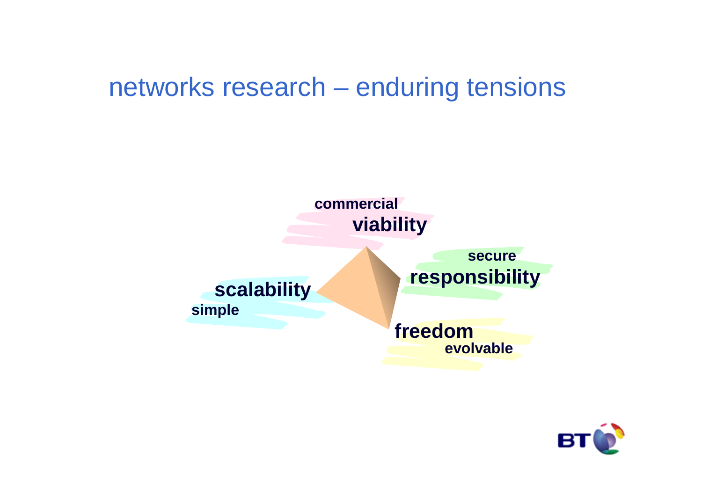### networks research – enduring tensions



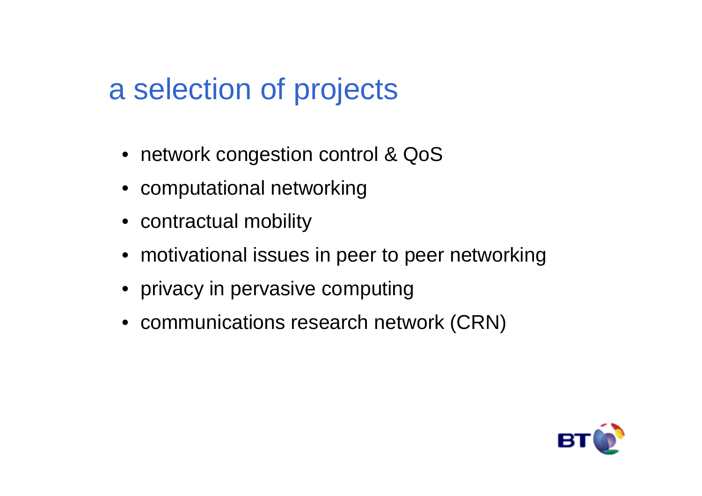# a selection of projects

- network congestion control & QoS
- computational networking
- contractual mobility
- motivational issues in peer to peer networking
- privacy in pervasive computing
- communications research network (CRN)

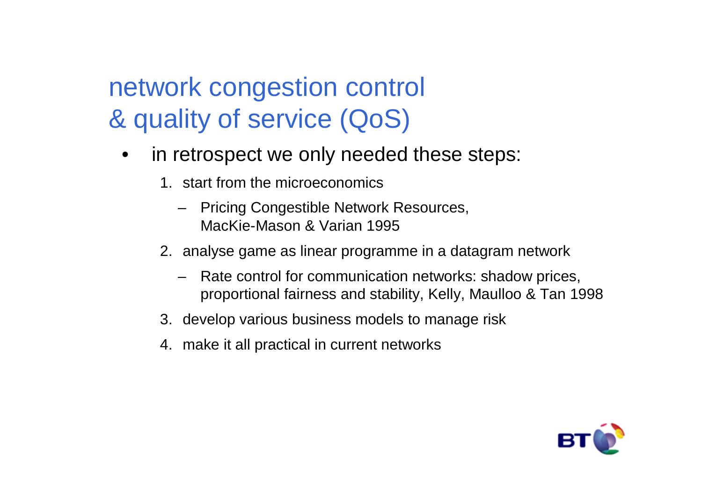## network congestion control & quality of service (QoS)

- • in retrospect we only needed these steps:
	- 1. start from the microeconomics
		- Pricing Congestible Network Resources, MacKie-Mason & Varian 1995
	- 2. analyse game as linear programme in a datagram network
		- Rate control for communication networks: shadow prices, proportional fairness and stability, Kelly, Maulloo & Tan 1998
	- 3. develop various business models to manage risk
	- 4. make it all practical in current networks

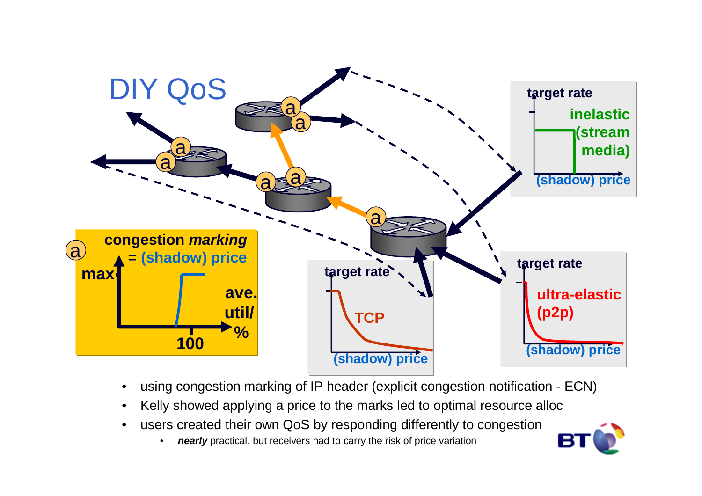

- •using congestion marking of IP header (explicit congestion notification - ECN)
- •Kelly showed applying a price to the marks led to optimal resource alloc
- • users created their own QoS by responding differently to congestion
	- •**nearly** practical, but receivers had to carry the risk of price variation

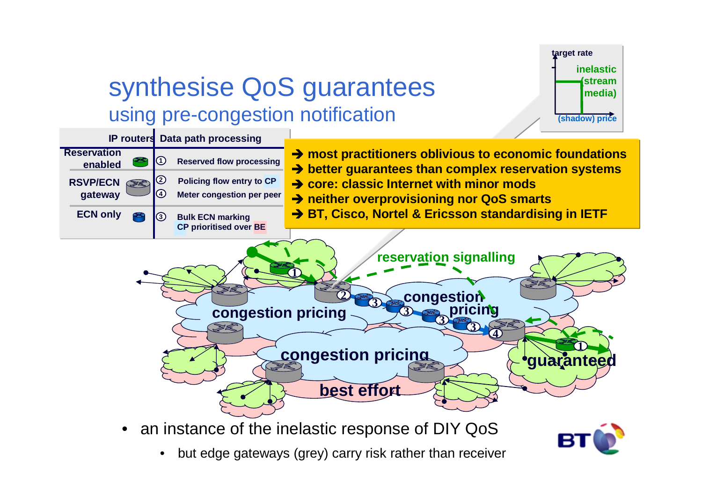

### synthesise QoS guarantees using pre-congestion notification



• an instance of the inelastic response of DIY QoS

- 
- •but edge gateways (grey) carry risk rather than receiver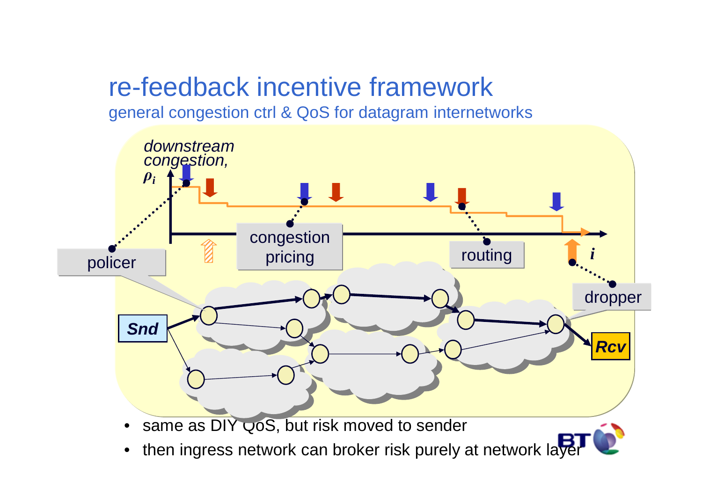## re-feedback incentive framework

general congestion ctrl & QoS for datagram internetworks

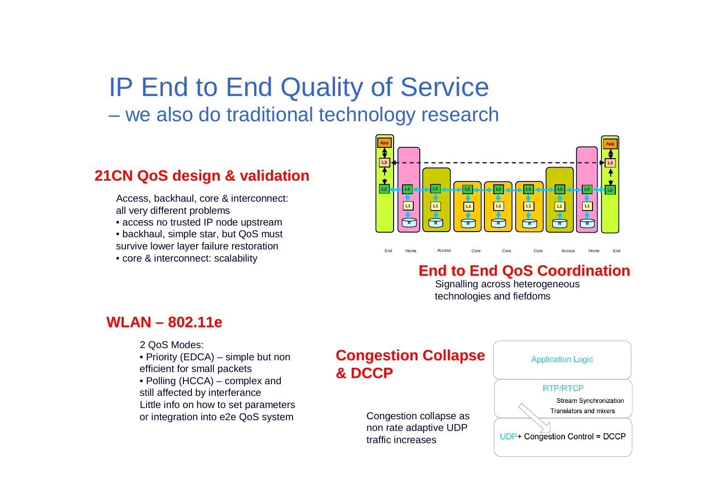# IP End to End Quality of Service

<u>– WA also do traditional tachnology rasaai</u> we also do traditional technology research

#### **21CN QoS design & validation**

Access, backhaul, core & interconnect: all very different problems

• access no trusted IP node upstream

• backhaul, simple star, but QoS must

survive lower layer failure restoration

• core & interconnect: scalability



#### **End to End QoS Coordination**Signalling across heterogeneous

e Core Core Access Home

Access Hom

technologies and fiefdoms

d Home Access Core Core Core Access Home End

#### **WLAN – 802.11e**

2 QoS Modes:

• Priority (EDCA) – simple but non efficient for small packets

 • Polling (HCCA) – complex and still affected by interferance Little info on how to set parameters or integration into e2e QoS system

#### **Congestion Collapse& DCCP**

Home

End

Access Core

Congestion collapse as non rate adaptive UDP traffic increases

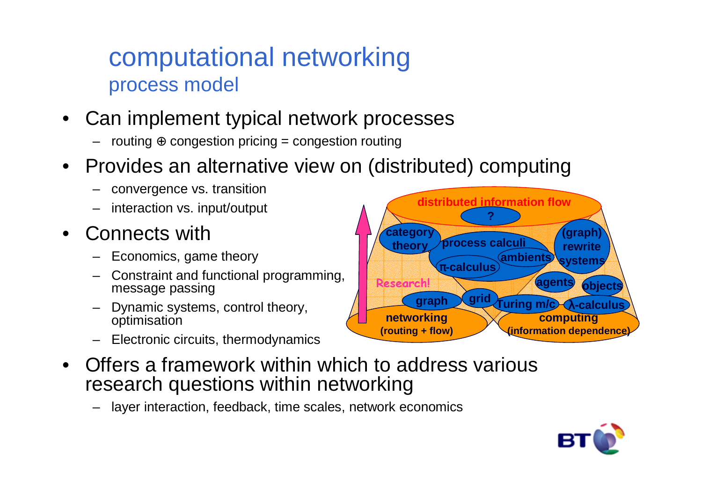### computational networkingprocess model

- Can implement typical network processes
	- $\,$  routing  $\oplus$  congestion pricing  $=$  congestion routing
- Provides an alternative view on (distributed) computing
	- convergence vs. transition
	- interaction vs. input/output
- • Connects with
	- Economics, game theory
	- Constraint and functional programming, message passing
	- Dynamic systems, control theory, optimisation
	- Electronic circuits, thermodynamics



layer interaction, feedback, time scales, network economics



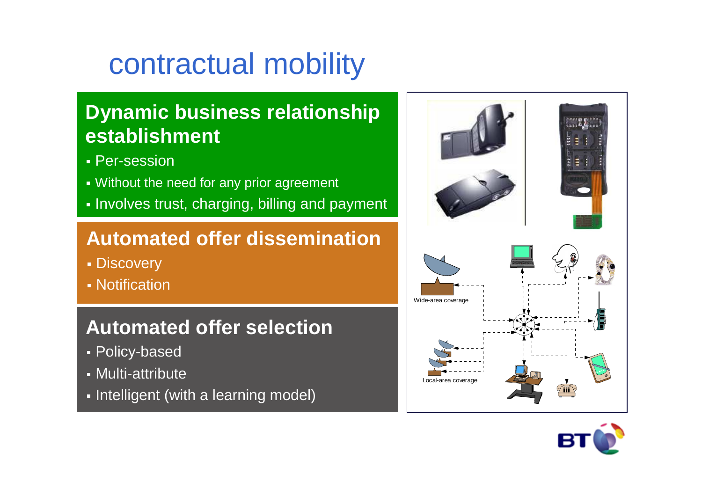# contractual mobility

### **Dynamic business relationship establishment**

- Per-session
- Without the need for any prior agreement
- Involves trust, charging, billing and payment

### **Automated offer dissemination**

- Discovery
- Notification

### **Automated offer selection**

- Policy-based
- Multi-attribute
- $\textcolor{red}{\bullet}$  Intelligent (with a learning model)



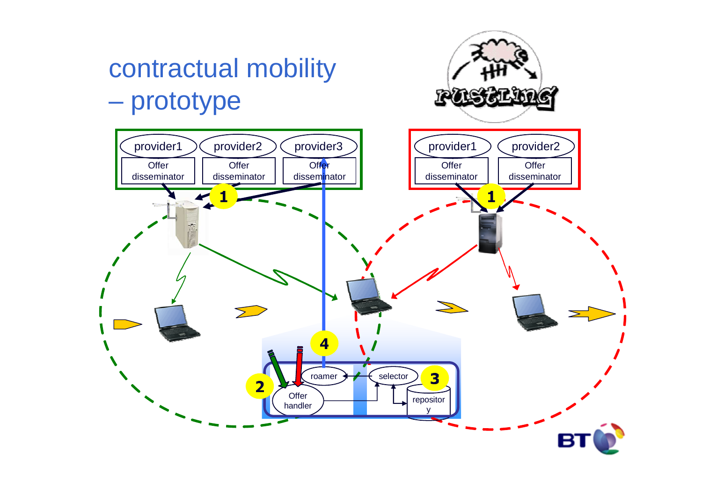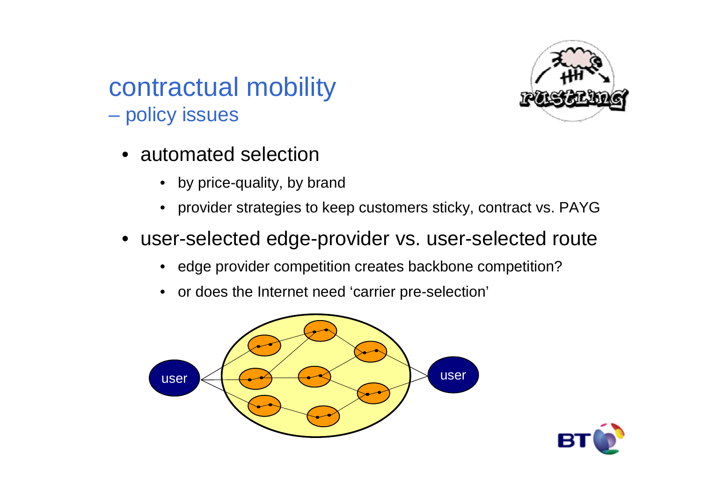

#### contractual mobility $\mathcal{L}_{\mathcal{A}}$  , and the set of the set of the set of the set of the set of the set of the set of the set of the set of the set of the set of the set of the set of the set of the set of the set of the set of the set of th policy issues

- automated selection
	- by price-quality, by brand
	- provider strategies to keep customers sticky, contract vs. PAYG
- user-selected edge-provider vs. user-selected route
	- edge provider competition creates backbone competition?
	- or does the Internet need 'carrier pre-selection'



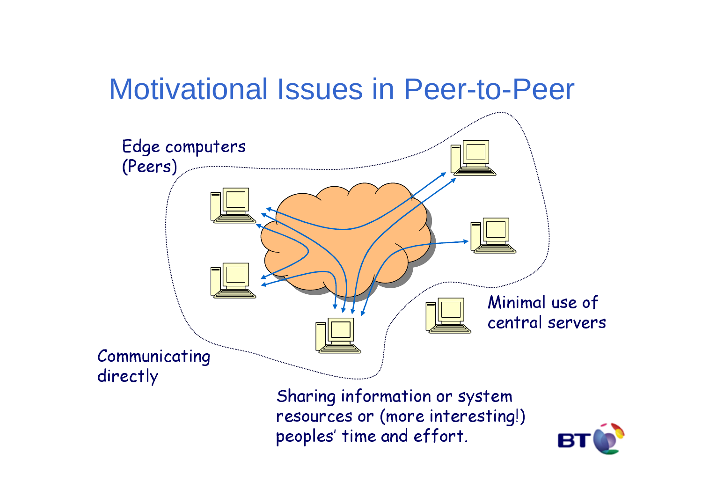# Motivational Issues in Peer-to-Peer

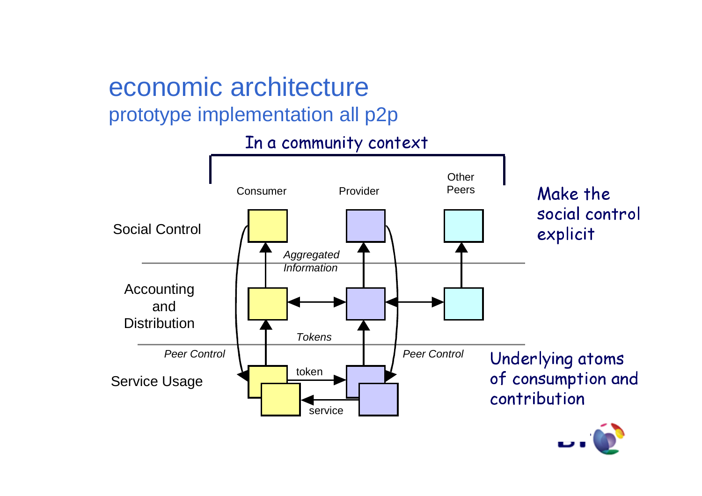# economic architecture

### prototype implementation all p2p

### In a community context

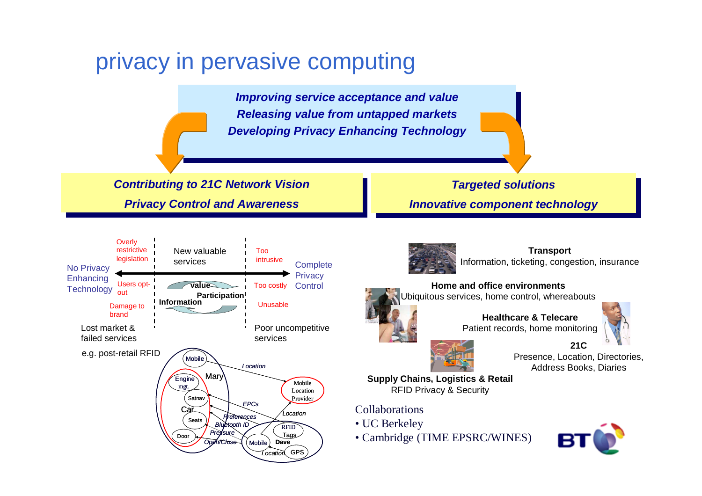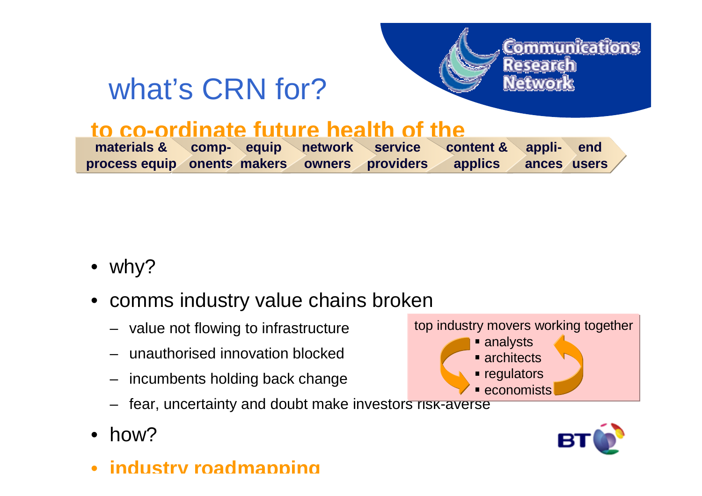# what's CRN for?



### **to co-ordinate future health of the**

| materials & comp- equip network service content & appli- end     |  |  |  |  |
|------------------------------------------------------------------|--|--|--|--|
| process equip onents makers owners providers applics ances users |  |  |  |  |

- why?
- comms industry value chains broken
	- value not flowing to infrastructure
	- unauthorised innovation blocked
	- incumbents holding back change
	- fear, uncertainty and doubt make investors risk-averse
- •how?
- •**industry roadmapping**



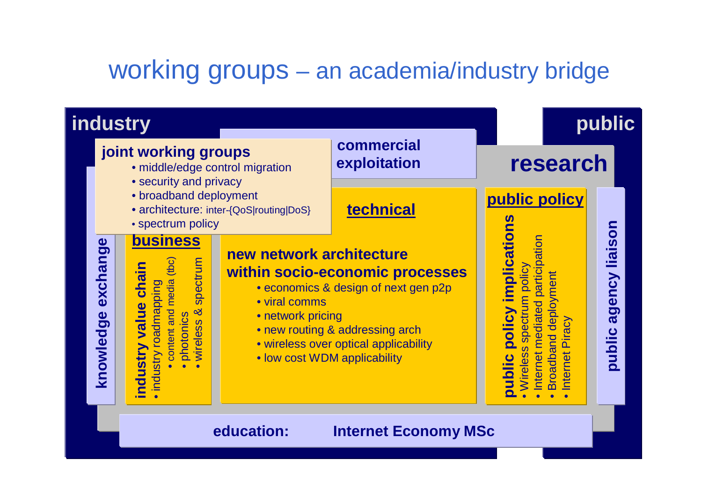### working groups – an academia/industry bridge

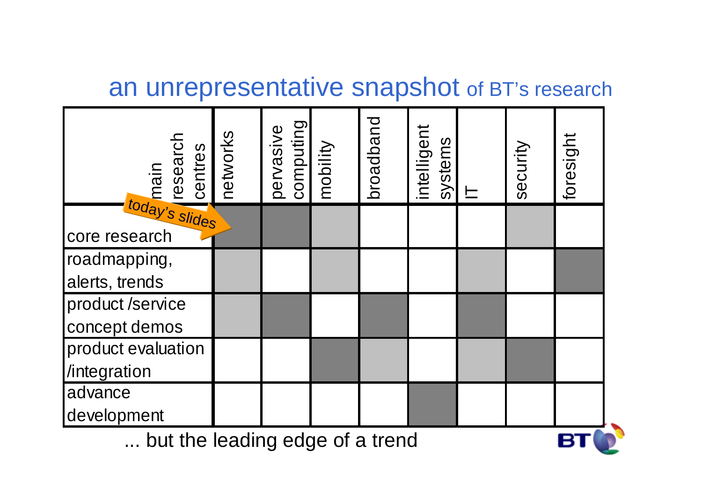### an unrepresentative snapshot of BT's research

| main<br>research<br>centres     | petworks | pervasive<br>computing<br>mobility |  | broadband | intelligent<br>systems |  | security | foresight |
|---------------------------------|----------|------------------------------------|--|-----------|------------------------|--|----------|-----------|
| today's slides                  |          |                                    |  |           |                        |  |          |           |
| core research                   |          |                                    |  |           |                        |  |          |           |
| roadmapping,                    |          |                                    |  |           |                        |  |          |           |
| alerts, trends                  |          |                                    |  |           |                        |  |          |           |
| product /service                |          |                                    |  |           |                        |  |          |           |
| concept demos                   |          |                                    |  |           |                        |  |          |           |
| product evaluation              |          |                                    |  |           |                        |  |          |           |
| /integration                    |          |                                    |  |           |                        |  |          |           |
| advance                         |          |                                    |  |           |                        |  |          |           |
| development                     |          |                                    |  |           |                        |  |          |           |
| but the leading edge of a trend |          |                                    |  |           |                        |  |          |           |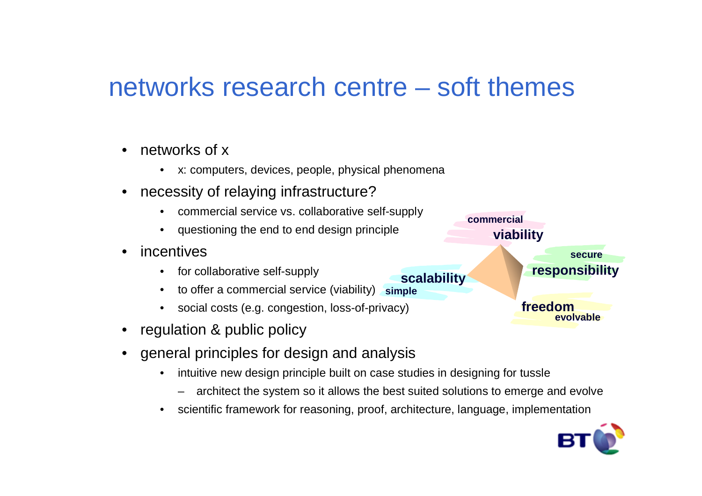### networks research centre – soft themes

- • networks of x
	- x: computers, devices, people, physical phenomena
- • necessity of relaying infrastructure?
	- commercial service vs. collaborative self-supply•
	- questioning the end to end design principle
- • incentives
	- for collaborative self-supply
	- $\bullet$ to offer a commercial service (viability) simple
	- $\bullet$ social costs (e.g. congestion, loss-of-privacy)
- •regulation & public policy
- general principles for design and analysis
	- $\bullet$  intuitive new design principle built on case studies in designing for tussle
		- architect the system so it allows the best suited solutions to emerge and evolve
	- $\bullet$ scientific framework for reasoning, proof, architecture, language, implementation



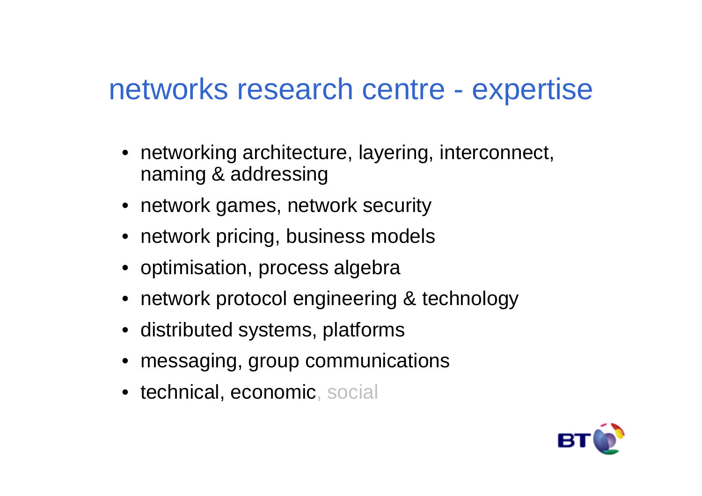## networks research centre - expertise

- networking architecture, layering, interconnect, naming & addressing
- network games, network security
- network pricing, business models
- optimisation, process algebra
- network protocol engineering & technology
- distributed systems, platforms
- messaging, group communications
- technical, economic, social